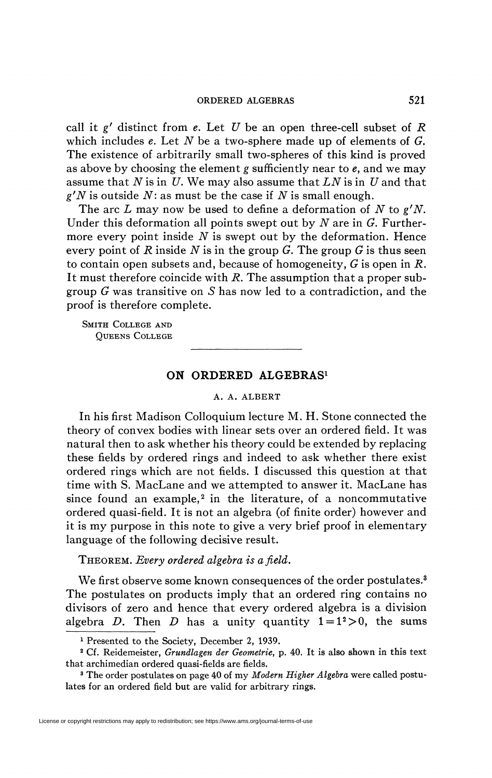## ORDERED ALGEBRAS 521

call it *g'* distinct from *e.* Let *U* be an open three-cell subset of *R*  which includes *e.* Let *N* be a two-sphere made up of elements of *G.*  The existence of arbitrarily small two-spheres of this kind is proved as above by choosing the element *g* sufficiently near to *e,* and we may assume that *N* is in *U.* We may also assume that *LN* is in *U* and that *g'N* is outside *N:* as must be the case if *N* is small enough.

The arc *L* may now be used to define a deformation of *N* to *g'N.*  Under this deformation all points swept out by *N* are in *G.* Furthermore every point inside *N* is swept out by the deformation. Hence every point of *R* inside *N* is in the group *G.* The group *G* is thus seen to contain open subsets and, because of homogeneity, *G* is open in *R.*  It must therefore coincide with *R.* The assumption that a proper subgroup *G* was transitive on 5 has now led to a contradiction, and the proof is therefore complete.

SMITH COLLEGE AND QUEENS COLLEGE

## **ON ORDERED ALGEBRAS<sup>1</sup>**

## A. A. ALBERT

In his first Madison Colloquium lecture M. H. Stone connected the theory of convex bodies with linear sets over an ordered field. It was natural then to ask whether his theory could be extended by replacing these fields by ordered rings and indeed to ask whether there exist ordered rings which are not fields. I discussed this question at that time with S. MacLane and we attempted to answer it. MacLane has since found an example,<sup>2</sup> in the literature, of a noncommutative ordered quasi-field. It is not an algebra (of finite order) however and it is my purpose in this note to give a very brief proof in elementary language of the following decisive result.

THEOREM. *Every ordered algebra is afield.* 

We first observe some known consequences of the order postulates.<sup>3</sup> The postulates on products imply that an ordered ring contains no divisors of zero and hence that every ordered algebra is a division algebra *D*. Then *D* has a unity quantity  $1 = 1^2 > 0$ , the sums

<sup>1</sup> Presented to the Society, December 2, 1939.

<sup>2</sup> Cf. Reidemeister, *Grundlagen der Geometrie,* p. 40. It is also shown in this text that archimedian ordered quasi-fields are fields.

<sup>&</sup>lt;sup>3</sup> The order postulates on page 40 of my Modern Higher Algebra were called postulates for an ordered field but are valid for arbitrary rings.